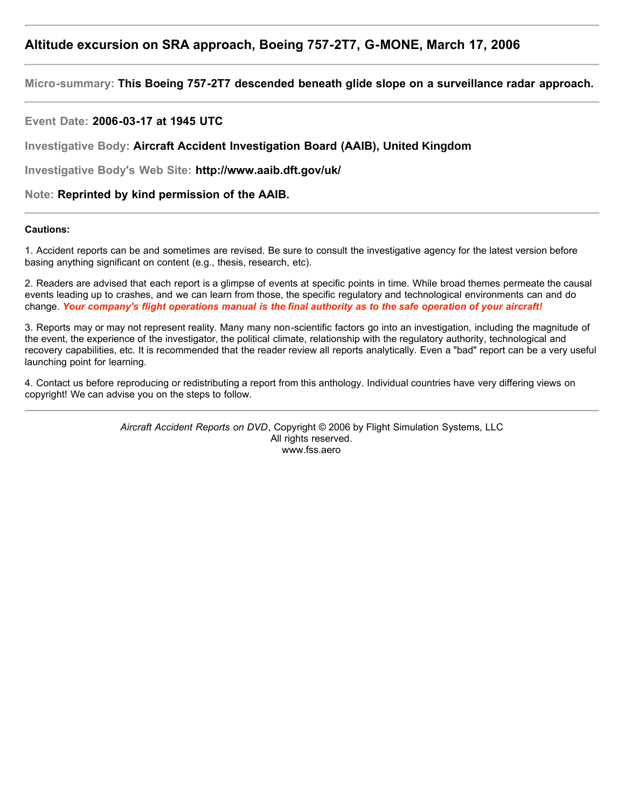# **Altitude excursion on SRA approach, Boeing 757-2T7, G-MONE, March 17, 2006**

**Micro-summary: This Boeing 757-2T7 descended beneath glide slope on a surveillance radar approach.**

**Event Date: 2006-03-17 at 1945 UTC**

**Investigative Body: Aircraft Accident Investigation Board (AAIB), United Kingdom**

**Investigative Body's Web Site: http://www.aaib.dft.gov/uk/**

**Note: Reprinted by kind permission of the AAIB.**

### **Cautions:**

1. Accident reports can be and sometimes are revised. Be sure to consult the investigative agency for the latest version before basing anything significant on content (e.g., thesis, research, etc).

2. Readers are advised that each report is a glimpse of events at specific points in time. While broad themes permeate the causal events leading up to crashes, and we can learn from those, the specific regulatory and technological environments can and do change. *Your company's flight operations manual is the final authority as to the safe operation of your aircraft!*

3. Reports may or may not represent reality. Many many non-scientific factors go into an investigation, including the magnitude of the event, the experience of the investigator, the political climate, relationship with the regulatory authority, technological and recovery capabilities, etc. It is recommended that the reader review all reports analytically. Even a "bad" report can be a very useful launching point for learning.

4. Contact us before reproducing or redistributing a report from this anthology. Individual countries have very differing views on copyright! We can advise you on the steps to follow.

> *Aircraft Accident Reports on DVD*, Copyright © 2006 by Flight Simulation Systems, LLC All rights reserved. www.fss.aero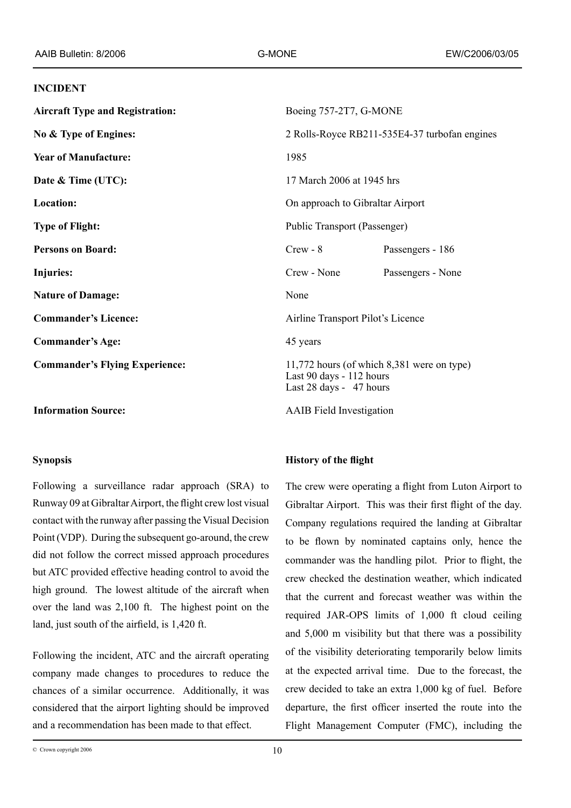#### **INCIDENT**

**Aircraft Type and Registration:** Boeing 757-2T7, G-MONE **No & Type of Engines:** 2 Rolls-Royce RB211-535E4-37 turbofan engines **Year of Manufacture:** 1985 **Date & Time (UTC):** 17 March 2006 at 1945 hrs **Location:** On approach to Gibraltar Airport **Type of Flight:** Public Transport (Passenger) **Persons on Board:** Crew - 8 Passengers - 186 **Injuries:** Crew - None Passengers - None **Nature of Damage:** None **Commander's Licence:** Airline Transport Pilot's Licence **Commander's Age:** 45 years **Commander's Flying Experience:** 11,772 hours (of which 8,381 were on type) Last 90 days - 112 hours Last 28 days - 47 hours

**Information Source:** AAIB Field Investigation

### **Synopsis**

Following a surveillance radar approach (SRA) to Runway 09 at Gibraltar Airport, the flight crew lost visual contact with the runway after passing the Visual Decision Point (VDP). During the subsequent go-around, the crew did not follow the correct missed approach procedures but ATC provided effective heading control to avoid the high ground. The lowest altitude of the aircraft when over the land was 2,100 ft. The highest point on the land, just south of the airfield, is 1,420 ft.

Following the incident, ATC and the aircraft operating company made changes to procedures to reduce the chances of a similar occurrence. Additionally, it was considered that the airport lighting should be improved and a recommendation has been made to that effect.

## **History of the flight**

The crew were operating a flight from Luton Airport to Gibraltar Airport. This was their first flight of the day. Company regulations required the landing at Gibraltar to be flown by nominated captains only, hence the commander was the handling pilot. Prior to flight, the crew checked the destination weather, which indicated that the current and forecast weather was within the required JAR-OPS limits of 1,000 ft cloud ceiling and 5,000 m visibility but that there was a possibility of the visibility deteriorating temporarily below limits at the expected arrival time. Due to the forecast, the crew decided to take an extra 1,000 kg of fuel. Before departure, the first officer inserted the route into the Flight Management Computer (FMC), including the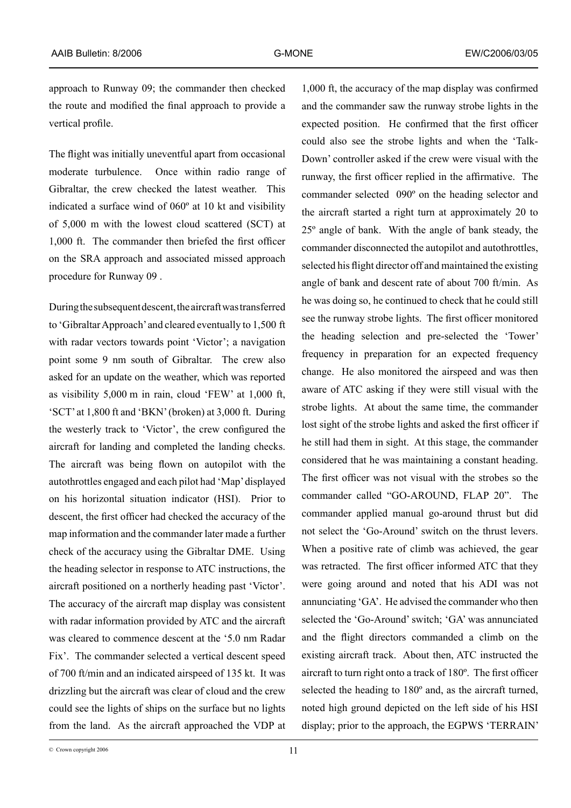approach to Runway 09; the commander then checked the route and modified the final approach to provide a vertical profile.

The flight was initially uneventful apart from occasional moderate turbulence. Once within radio range of Gibraltar, the crew checked the latest weather. This indicated a surface wind of 060º at 10 kt and visibility of 5,000 m with the lowest cloud scattered (SCT) at 1,000 ft. The commander then briefed the first officer on the SRA approach and associated missed approach procedure for Runway 09 .

During the subsequent descent, the aircraft was transferred to 'Gibraltar Approach' and cleared eventually to 1,500 ft with radar vectors towards point 'Victor'; a navigation point some 9 nm south of Gibraltar. The crew also asked for an update on the weather, which was reported as visibility 5,000 m in rain, cloud 'FEW' at 1,000 ft, 'SCT' at 1,800 ft and 'BKN' (broken) at 3,000 ft. During the westerly track to 'Victor', the crew configured the aircraft for landing and completed the landing checks. The aircraft was being flown on autopilot with the autothrottles engaged and each pilot had 'Map' displayed on his horizontal situation indicator (HSI). Prior to descent, the first officer had checked the accuracy of the map information and the commander later made a further check of the accuracy using the Gibraltar DME. Using the heading selector in response to ATC instructions, the aircraft positioned on a northerly heading past 'Victor'. The accuracy of the aircraft map display was consistent with radar information provided by ATC and the aircraft was cleared to commence descent at the '5.0 nm Radar Fix'. The commander selected a vertical descent speed of 700 ft/min and an indicated airspeed of 135 kt. It was drizzling but the aircraft was clear of cloud and the crew could see the lights of ships on the surface but no lights from the land. As the aircraft approached the VDP at

1,000 ft, the accuracy of the map display was confirmed and the commander saw the runway strobe lights in the expected position. He confirmed that the first officer could also see the strobe lights and when the 'Talk-Down' controller asked if the crew were visual with the runway, the first officer replied in the affirmative. The commander selected 090º on the heading selector and the aircraft started a right turn at approximately 20 to 25º angle of bank. With the angle of bank steady, the commander disconnected the autopilot and autothrottles, selected his flight director off and maintained the existing angle of bank and descent rate of about 700 ft/min. As he was doing so, he continued to check that he could still see the runway strobe lights. The first officer monitored the heading selection and pre-selected the 'Tower' frequency in preparation for an expected frequency change. He also monitored the airspeed and was then aware of ATC asking if they were still visual with the strobe lights. At about the same time, the commander lost sight of the strobe lights and asked the first officer if he still had them in sight. At this stage, the commander considered that he was maintaining a constant heading. The first officer was not visual with the strobes so the commander called "GO-AROUND, FLAP 20". The commander applied manual go-around thrust but did not select the 'Go-Around' switch on the thrust levers. When a positive rate of climb was achieved, the gear was retracted. The first officer informed ATC that they were going around and noted that his ADI was not annunciating 'GA'. He advised the commander who then selected the 'Go-Around' switch; 'GA' was annunciated and the flight directors commanded a climb on the existing aircraft track. About then, ATC instructed the aircraft to turn right onto a track of 180º. The first officer selected the heading to 180º and, as the aircraft turned, noted high ground depicted on the left side of his HSI display; prior to the approach, the EGPWS 'TERRAIN'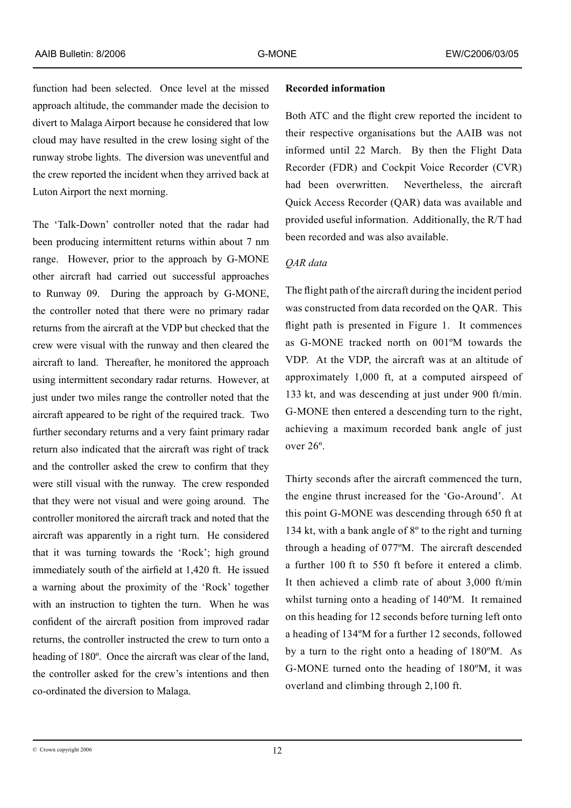function had been selected. Once level at the missed approach altitude, the commander made the decision to divert to Malaga Airport because he considered that low cloud may have resulted in the crew losing sight of the runway strobe lights. The diversion was uneventful and the crew reported the incident when they arrived back at Luton Airport the next morning.

The 'Talk-Down' controller noted that the radar had been producing intermittent returns within about 7 nm range. However, prior to the approach by G-MONE other aircraft had carried out successful approaches to Runway 09. During the approach by G-MONE, the controller noted that there were no primary radar returns from the aircraft at the VDP but checked that the crew were visual with the runway and then cleared the aircraft to land. Thereafter, he monitored the approach using intermittent secondary radar returns. However, at just under two miles range the controller noted that the aircraft appeared to be right of the required track. Two further secondary returns and a very faint primary radar return also indicated that the aircraft was right of track and the controller asked the crew to confirm that they were still visual with the runway. The crew responded that they were not visual and were going around. The controller monitored the aircraft track and noted that the aircraft was apparently in a right turn. He considered that it was turning towards the 'Rock'; high ground immediately south of the airfield at 1,420 ft. He issued a warning about the proximity of the 'Rock' together with an instruction to tighten the turn. When he was confident of the aircraft position from improved radar returns, the controller instructed the crew to turn onto a heading of 180º. Once the aircraft was clear of the land, the controller asked for the crew's intentions and then co-ordinated the diversion to Malaga.

### **Recorded information**

Both ATC and the flight crew reported the incident to their respective organisations but the AAIB was not informed until 22 March. By then the Flight Data Recorder (FDR) and Cockpit Voice Recorder (CVR) had been overwritten. Nevertheless, the aircraft Quick Access Recorder (QAR) data was available and provided useful information. Additionally, the R/T had been recorded and was also available.

# *QAR data*

The flight path of the aircraft during the incident period was constructed from data recorded on the QAR. This flight path is presented in Figure 1. It commences as G-MONE tracked north on 001ºM towards the VDP. At the VDP, the aircraft was at an altitude of approximately 1,000 ft, at a computed airspeed of 133 kt, and was descending at just under 900 ft/min. G-MONE then entered a descending turn to the right, achieving a maximum recorded bank angle of just over 26º.

Thirty seconds after the aircraft commenced the turn, the engine thrust increased for the 'Go-Around'. At this point G-MONE was descending through 650 ft at 134 kt, with a bank angle of 8º to the right and turning through a heading of 077ºM. The aircraft descended a further 100 ft to 550 ft before it entered a climb. It then achieved a climb rate of about 3,000 ft/min whilst turning onto a heading of 140ºM. It remained on this heading for 12 seconds before turning left onto a heading of 134ºM for a further 12 seconds, followed by a turn to the right onto a heading of 180ºM. As G-MONE turned onto the heading of 180ºM, it was overland and climbing through 2,100 ft.

 $\degree$  Crown copyright 2006  $\degree$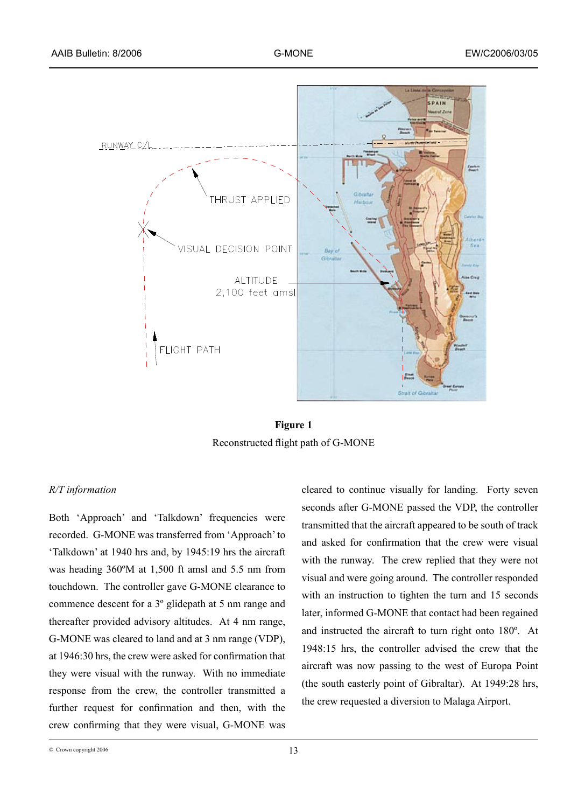

**Figure 1** Reconstructed flight path of G-MONE

# *R/T information*

Both 'Approach' and 'Talkdown' frequencies were recorded. G-MONE was transferred from 'Approach' to 'Talkdown' at 1940 hrs and, by 1945:19 hrs the aircraft was heading 360ºM at 1,500 ft amsl and 5.5 nm from touchdown. The controller gave G-MONE clearance to commence descent for a 3º glidepath at 5 nm range and thereafter provided advisory altitudes. At 4 nm range, G-MONE was cleared to land and at 3 nm range (VDP), at 1946:30 hrs, the crew were asked for confirmation that they were visual with the runway. With no immediate response from the crew, the controller transmitted a further request for confirmation and then, with the crew confirming that they were visual, G-MONE was

cleared to continue visually for landing. Forty seven seconds after G-MONE passed the VDP, the controller transmitted that the aircraft appeared to be south of track and asked for confirmation that the crew were visual with the runway. The crew replied that they were not visual and were going around. The controller responded with an instruction to tighten the turn and 15 seconds later, informed G-MONE that contact had been regained and instructed the aircraft to turn right onto 180º. At 1948:15 hrs, the controller advised the crew that the aircraft was now passing to the west of Europa Point (the south easterly point of Gibraltar). At 1949:28 hrs, the crew requested a diversion to Malaga Airport.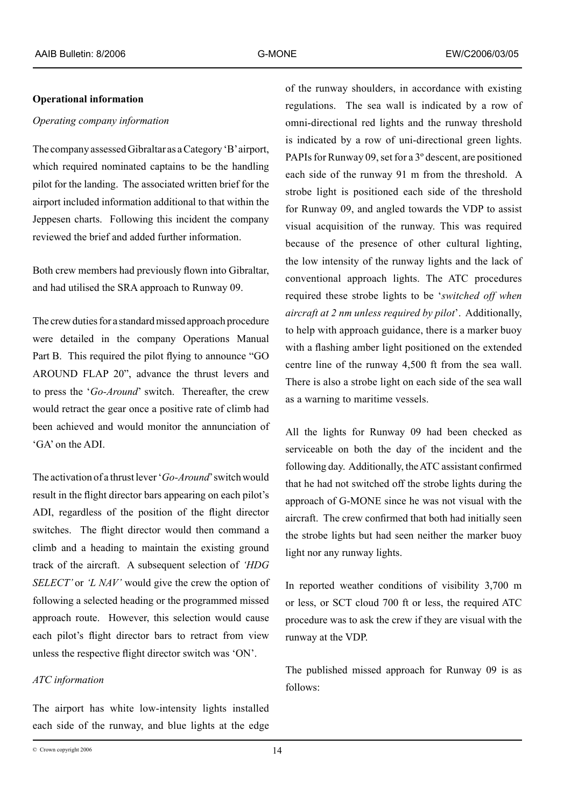### **Operational information**

# *Operating company information*

The company assessed Gibraltar as a Category 'B' airport, which required nominated captains to be the handling pilot for the landing. The associated written brief for the airport included information additional to that within the Jeppesen charts. Following this incident the company reviewed the brief and added further information.

Both crew members had previously flown into Gibraltar, and had utilised the SRA approach to Runway 09.

The crew duties for a standard missed approach procedure were detailed in the company Operations Manual Part B. This required the pilot flying to announce "GO AROUND FLAP 20", advance the thrust levers and to press the '*Go-Around*' switch. Thereafter, the crew would retract the gear once a positive rate of climb had been achieved and would monitor the annunciation of 'GA' on the ADI.

The activation of a thrust lever '*Go-Around*' switch would result in the flight director bars appearing on each pilot's ADI, regardless of the position of the flight director switches. The flight director would then command a climb and a heading to maintain the existing ground track of the aircraft. A subsequent selection of *'HDG SELECT'* or *'L NAV'* would give the crew the option of following a selected heading or the programmed missed approach route. However, this selection would cause each pilot's flight director bars to retract from view unless the respective flight director switch was 'ON'.

# *ATC information*

The airport has white low-intensity lights installed each side of the runway, and blue lights at the edge

of the runway shoulders, in accordance with existing regulations. The sea wall is indicated by a row of omni-directional red lights and the runway threshold is indicated by a row of uni-directional green lights. PAPIs for Runway 09, set for a 3º descent, are positioned each side of the runway 91 m from the threshold. A strobe light is positioned each side of the threshold for Runway 09, and angled towards the VDP to assist visual acquisition of the runway. This was required because of the presence of other cultural lighting, the low intensity of the runway lights and the lack of conventional approach lights. The ATC procedures required these strobe lights to be '*switched off when aircraft at 2 nm unless required by pilot*'. Additionally, to help with approach guidance, there is a marker buoy with a flashing amber light positioned on the extended centre line of the runway 4,500 ft from the sea wall. There is also a strobe light on each side of the sea wall as a warning to maritime vessels.

All the lights for Runway 09 had been checked as serviceable on both the day of the incident and the following day. Additionally, the ATC assistant confirmed that he had not switched off the strobe lights during the approach of G-MONE since he was not visual with the aircraft. The crew confirmed that both had initially seen the strobe lights but had seen neither the marker buoy light nor any runway lights.

In reported weather conditions of visibility 3,700 m or less, or SCT cloud 700 ft or less, the required ATC procedure was to ask the crew if they are visual with the runway at the VDP.

The published missed approach for Runway 09 is as follows: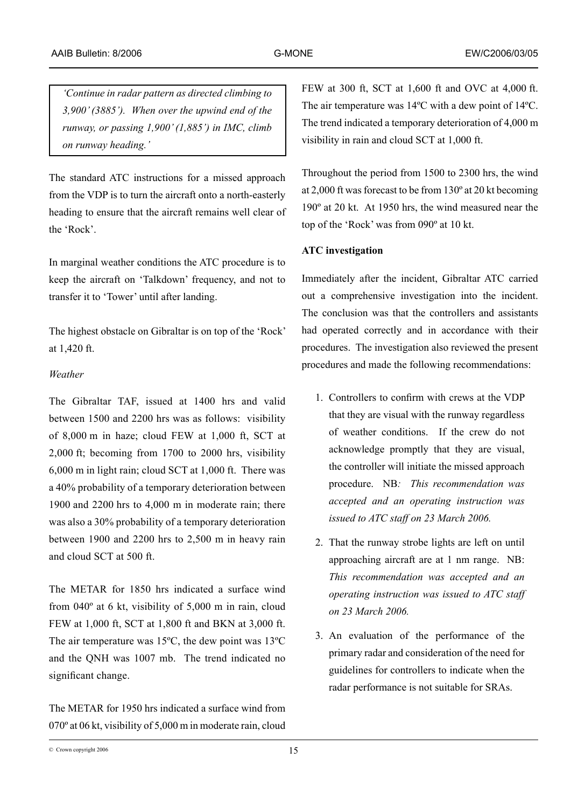*'Continue in radar pattern as directed climbing to 3,900' (3885'). When over the upwind end of the runway, or passing 1,900' (1,885') in IMC, climb on runway heading.'*

The standard ATC instructions for a missed approach from the VDP is to turn the aircraft onto a north-easterly heading to ensure that the aircraft remains well clear of the 'Rock'.

In marginal weather conditions the ATC procedure is to keep the aircraft on 'Talkdown' frequency, and not to transfer it to 'Tower' until after landing.

The highest obstacle on Gibraltar is on top of the 'Rock' at 1,420 ft.

## *Weather*

The Gibraltar TAF, issued at 1400 hrs and valid between 1500 and 2200 hrs was as follows: visibility of 8,000 m in haze; cloud FEW at 1,000 ft, SCT at 2,000 ft; becoming from 1700 to 2000 hrs, visibility 6,000 m in light rain; cloud SCT at 1,000 ft. There was a 40% probability of a temporary deterioration between 1900 and 2200 hrs to 4,000 m in moderate rain; there was also a 30% probability of a temporary deterioration between 1900 and 2200 hrs to 2,500 m in heavy rain and cloud SCT at 500 ft.

The METAR for 1850 hrs indicated a surface wind from 040º at 6 kt, visibility of 5,000 m in rain, cloud FEW at 1,000 ft, SCT at 1,800 ft and BKN at 3,000 ft. The air temperature was 15ºC, the dew point was 13ºC and the QNH was 1007 mb. The trend indicated no significant change.

The METAR for 1950 hrs indicated a surface wind from 070º at 06 kt, visibility of 5,000 m in moderate rain, cloud FEW at 300 ft, SCT at 1,600 ft and OVC at 4,000 ft. The air temperature was 14ºC with a dew point of 14ºC. The trend indicated a temporary deterioration of 4,000 m visibility in rain and cloud SCT at 1,000 ft.

Throughout the period from 1500 to 2300 hrs, the wind at 2,000 ft was forecast to be from 130º at 20 kt becoming 190º at 20 kt. At 1950 hrs, the wind measured near the top of the 'Rock' was from 090º at 10 kt.

# **ATC investigation**

Immediately after the incident, Gibraltar ATC carried out a comprehensive investigation into the incident. The conclusion was that the controllers and assistants had operated correctly and in accordance with their procedures. The investigation also reviewed the present procedures and made the following recommendations:

- 1. Controllers to confirm with crews at the VDP that they are visual with the runway regardless of weather conditions. If the crew do not acknowledge promptly that they are visual, the controller will initiate the missed approach procedure. NB*: This recommendation was accepted and an operating instruction was issued to ATC staff on 23 March 2006.*
- 2. That the runway strobe lights are left on until approaching aircraft are at 1 nm range. NB: *This recommendation was accepted and an operating instruction was issued to ATC staff on 23 March 2006.*
- 3. An evaluation of the performance of the primary radar and consideration of the need for guidelines for controllers to indicate when the radar performance is not suitable for SRAs.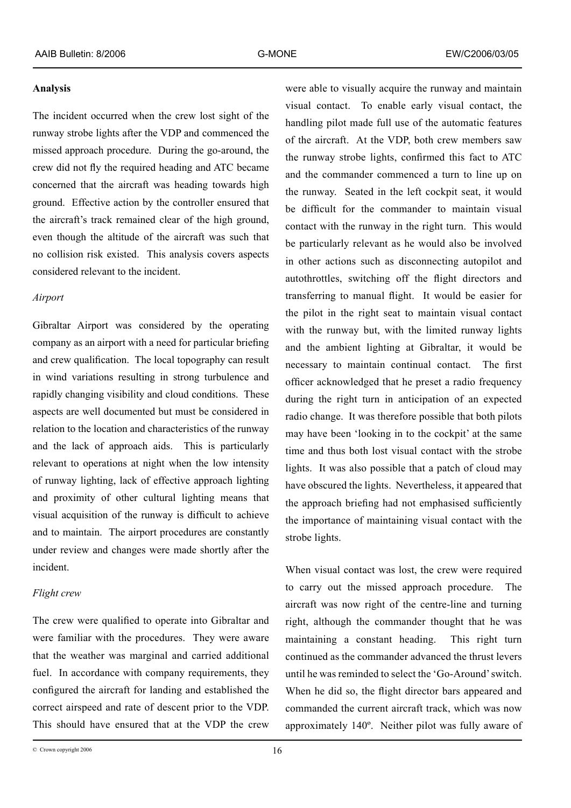### **Analysis**

The incident occurred when the crew lost sight of the runway strobe lights after the VDP and commenced the missed approach procedure. During the go-around, the crew did not fly the required heading and ATC became concerned that the aircraft was heading towards high ground. Effective action by the controller ensured that the aircraft's track remained clear of the high ground, even though the altitude of the aircraft was such that no collision risk existed. This analysis covers aspects considered relevant to the incident.

### *Airport*

Gibraltar Airport was considered by the operating company as an airport with a need for particular briefing and crew qualification. The local topography can result in wind variations resulting in strong turbulence and rapidly changing visibility and cloud conditions. These aspects are well documented but must be considered in relation to the location and characteristics of the runway and the lack of approach aids. This is particularly relevant to operations at night when the low intensity of runway lighting, lack of effective approach lighting and proximity of other cultural lighting means that visual acquisition of the runway is difficult to achieve and to maintain. The airport procedures are constantly under review and changes were made shortly after the incident.

# *Flight crew*

The crew were qualified to operate into Gibraltar and were familiar with the procedures. They were aware that the weather was marginal and carried additional fuel. In accordance with company requirements, they configured the aircraft for landing and established the correct airspeed and rate of descent prior to the VDP. This should have ensured that at the VDP the crew

were able to visually acquire the runway and maintain visual contact. To enable early visual contact, the handling pilot made full use of the automatic features of the aircraft. At the VDP, both crew members saw the runway strobe lights, confirmed this fact to ATC and the commander commenced a turn to line up on the runway. Seated in the left cockpit seat, it would be difficult for the commander to maintain visual contact with the runway in the right turn. This would be particularly relevant as he would also be involved in other actions such as disconnecting autopilot and autothrottles, switching off the flight directors and transferring to manual flight. It would be easier for the pilot in the right seat to maintain visual contact with the runway but, with the limited runway lights and the ambient lighting at Gibraltar, it would be necessary to maintain continual contact. The first officer acknowledged that he preset a radio frequency during the right turn in anticipation of an expected radio change. It was therefore possible that both pilots may have been 'looking in to the cockpit' at the same time and thus both lost visual contact with the strobe lights. It was also possible that a patch of cloud may have obscured the lights. Nevertheless, it appeared that the approach briefing had not emphasised sufficiently the importance of maintaining visual contact with the strobe lights.

When visual contact was lost, the crew were required to carry out the missed approach procedure. The aircraft was now right of the centre-line and turning right, although the commander thought that he was maintaining a constant heading. This right turn continued as the commander advanced the thrust levers until he was reminded to select the 'Go-Around' switch. When he did so, the flight director bars appeared and commanded the current aircraft track, which was now approximately 140º. Neither pilot was fully aware of